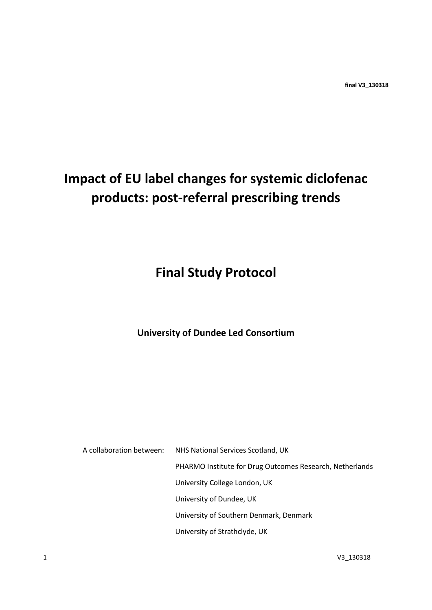**final V3\_130318**

# **Impact of EU label changes for systemic diclofenac products: post-referral prescribing trends**

**Final Study Protocol**

# **University of Dundee Led Consortium**

| A collaboration between: | NHS National Services Scotland, UK                       |  |  |  |
|--------------------------|----------------------------------------------------------|--|--|--|
|                          | PHARMO Institute for Drug Outcomes Research, Netherlands |  |  |  |
|                          | University College London, UK                            |  |  |  |
|                          | University of Dundee, UK                                 |  |  |  |
|                          | University of Southern Denmark, Denmark                  |  |  |  |
|                          | University of Strathclyde, UK                            |  |  |  |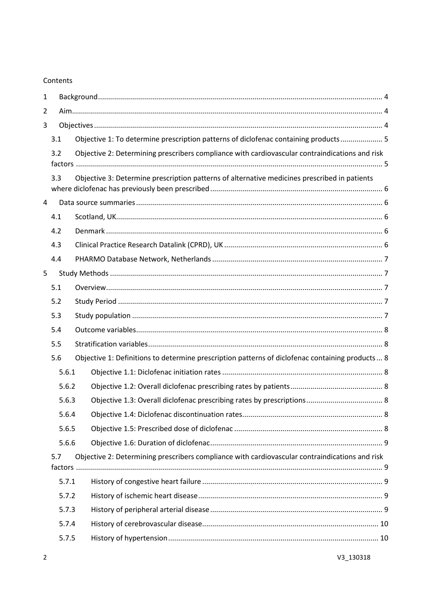#### Contents

| 1 |     |       |                                                                                                  |  |
|---|-----|-------|--------------------------------------------------------------------------------------------------|--|
| 2 |     |       |                                                                                                  |  |
| 3 |     |       |                                                                                                  |  |
|   | 3.1 |       | Objective 1: To determine prescription patterns of diclofenac containing products 5              |  |
|   | 3.2 |       | Objective 2: Determining prescribers compliance with cardiovascular contraindications and risk   |  |
|   |     |       |                                                                                                  |  |
|   | 3.3 |       | Objective 3: Determine prescription patterns of alternative medicines prescribed in patients     |  |
| 4 |     |       |                                                                                                  |  |
|   | 4.1 |       |                                                                                                  |  |
|   | 4.2 |       |                                                                                                  |  |
|   | 4.3 |       |                                                                                                  |  |
|   | 4.4 |       |                                                                                                  |  |
| 5 |     |       |                                                                                                  |  |
|   | 5.1 |       |                                                                                                  |  |
|   | 5.2 |       |                                                                                                  |  |
|   | 5.3 |       |                                                                                                  |  |
|   | 5.4 |       |                                                                                                  |  |
|   | 5.5 |       |                                                                                                  |  |
|   | 5.6 |       | Objective 1: Definitions to determine prescription patterns of diclofenac containing products  8 |  |
|   |     | 5.6.1 |                                                                                                  |  |
|   |     | 5.6.2 |                                                                                                  |  |
|   |     | 5.6.3 |                                                                                                  |  |
|   |     | 5.6.4 |                                                                                                  |  |
|   |     | 5.6.5 |                                                                                                  |  |
|   |     | 5.6.6 |                                                                                                  |  |
|   | 5.7 |       | Objective 2: Determining prescribers compliance with cardiovascular contraindications and risk   |  |
|   |     | 5.7.1 |                                                                                                  |  |
|   |     | 5.7.2 |                                                                                                  |  |
|   |     | 5.7.3 |                                                                                                  |  |
|   |     | 5.7.4 |                                                                                                  |  |
|   |     | 5.7.5 |                                                                                                  |  |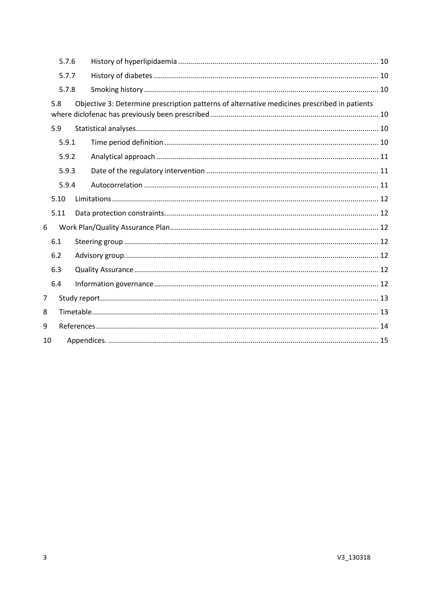| 5.7.6          |                                                                                              |  |
|----------------|----------------------------------------------------------------------------------------------|--|
| 5.7.7          |                                                                                              |  |
| 5.7.8          |                                                                                              |  |
| 5.8            | Objective 3: Determine prescription patterns of alternative medicines prescribed in patients |  |
|                |                                                                                              |  |
| 5.9            |                                                                                              |  |
| 5.9.1          |                                                                                              |  |
| 5.9.2          |                                                                                              |  |
| 5.9.3          |                                                                                              |  |
| 5.9.4          |                                                                                              |  |
| 5.10           |                                                                                              |  |
| 5.11           |                                                                                              |  |
| 6              |                                                                                              |  |
| 6.1            |                                                                                              |  |
| 6.2            |                                                                                              |  |
| 6.3            |                                                                                              |  |
| 6.4            |                                                                                              |  |
| $\overline{7}$ |                                                                                              |  |
| 8              |                                                                                              |  |
| 9              |                                                                                              |  |
| 10             |                                                                                              |  |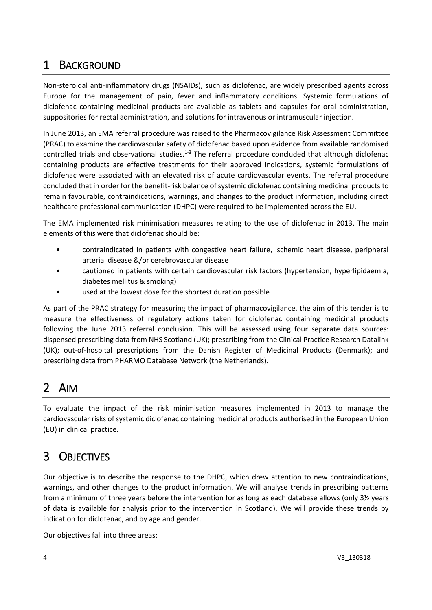# <span id="page-3-0"></span>1 BACKGROUND

Non-steroidal anti-inflammatory drugs (NSAIDs), such as diclofenac, are widely prescribed agents across Europe for the management of pain, fever and inflammatory conditions. Systemic formulations of diclofenac containing medicinal products are available as tablets and capsules for oral administration, suppositories for rectal administration, and solutions for intravenous or intramuscular injection.

In June 2013, an EMA referral procedure was raised to the Pharmacovigilance Risk Assessment Committee (PRAC) to examine the cardiovascular safety of diclofenac based upon evidence from available randomised controlled trials and observational studies. $1-3$  The referral procedure concluded that although diclofenac containing products are effective treatments for their approved indications, systemic formulations of diclofenac were associated with an elevated risk of acute cardiovascular events. The referral procedure concluded that in order for the benefit-risk balance of systemic diclofenac containing medicinal products to remain favourable, contraindications, warnings, and changes to the product information, including direct healthcare professional communication (DHPC) were required to be implemented across the EU.

The EMA implemented risk minimisation measures relating to the use of diclofenac in 2013. The main elements of this were that diclofenac should be:

- contraindicated in patients with congestive heart failure, ischemic heart disease, peripheral arterial disease &/or cerebrovascular disease
- cautioned in patients with certain cardiovascular risk factors (hypertension, hyperlipidaemia, diabetes mellitus & smoking)
- used at the lowest dose for the shortest duration possible

As part of the PRAC strategy for measuring the impact of pharmacovigilance, the aim of this tender is to measure the effectiveness of regulatory actions taken for diclofenac containing medicinal products following the June 2013 referral conclusion. This will be assessed using four separate data sources: dispensed prescribing data from NHS Scotland (UK); prescribing from the Clinical Practice Research Datalink (UK); out-of-hospital prescriptions from the Danish Register of Medicinal Products (Denmark); and prescribing data from PHARMO Database Network (the Netherlands).

# <span id="page-3-1"></span>2 AIM

To evaluate the impact of the risk minimisation measures implemented in 2013 to manage the cardiovascular risks of systemic diclofenac containing medicinal products authorised in the European Union (EU) in clinical practice.

# <span id="page-3-2"></span>3 OBJECTIVES

Our objective is to describe the response to the DHPC, which drew attention to new contraindications, warnings, and other changes to the product information. We will analyse trends in prescribing patterns from a minimum of three years before the intervention for as long as each database allows (only 3½ years of data is available for analysis prior to the intervention in Scotland). We will provide these trends by indication for diclofenac, and by age and gender.

Our objectives fall into three areas: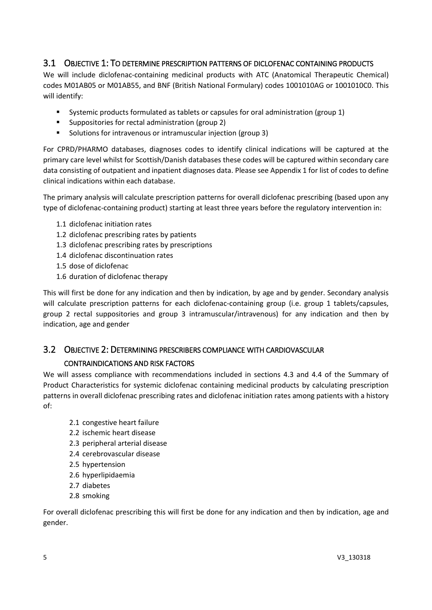## <span id="page-4-0"></span>3.1 OBJECTIVE 1: TO DETERMINE PRESCRIPTION PATTERNS OF DICLOFENAC CONTAINING PRODUCTS

We will include diclofenac-containing medicinal products with ATC (Anatomical Therapeutic Chemical) codes M01AB05 or M01AB55, and BNF (British National Formulary) codes 1001010AG or 1001010C0. This will identify:

- Systemic products formulated as tablets or capsules for oral administration (group 1)
- Suppositories for rectal administration (group 2)
- Solutions for intravenous or intramuscular injection (group 3)

For CPRD/PHARMO databases, diagnoses codes to identify clinical indications will be captured at the primary care level whilst for Scottish/Danish databases these codes will be captured within secondary care data consisting of outpatient and inpatient diagnoses data. Please see Appendix 1 for list of codes to define clinical indications within each database.

The primary analysis will calculate prescription patterns for overall diclofenac prescribing (based upon any type of diclofenac-containing product) starting at least three years before the regulatory intervention in:

- 1.1 diclofenac initiation rates
- 1.2 diclofenac prescribing rates by patients
- 1.3 diclofenac prescribing rates by prescriptions
- 1.4 diclofenac discontinuation rates
- 1.5 dose of diclofenac
- 1.6 duration of diclofenac therapy

This will first be done for any indication and then by indication, by age and by gender. Secondary analysis will calculate prescription patterns for each diclofenac-containing group (i.e. group 1 tablets/capsules, group 2 rectal suppositories and group 3 intramuscular/intravenous) for any indication and then by indication, age and gender

## <span id="page-4-1"></span>3.2 OBJECTIVE 2: DETERMINING PRESCRIBERS COMPLIANCE WITH CARDIOVASCULAR

#### CONTRAINDICATIONS AND RISK FACTORS

We will assess compliance with recommendations included in sections 4.3 and 4.4 of the Summary of Product Characteristics for systemic diclofenac containing medicinal products by calculating prescription patterns in overall diclofenac prescribing rates and diclofenac initiation rates among patients with a history of:

- 2.1 congestive heart failure
- 2.2 ischemic heart disease
- 2.3 peripheral arterial disease
- 2.4 cerebrovascular disease
- 2.5 hypertension
- 2.6 hyperlipidaemia
- 2.7 diabetes
- 2.8 smoking

For overall diclofenac prescribing this will first be done for any indication and then by indication, age and gender.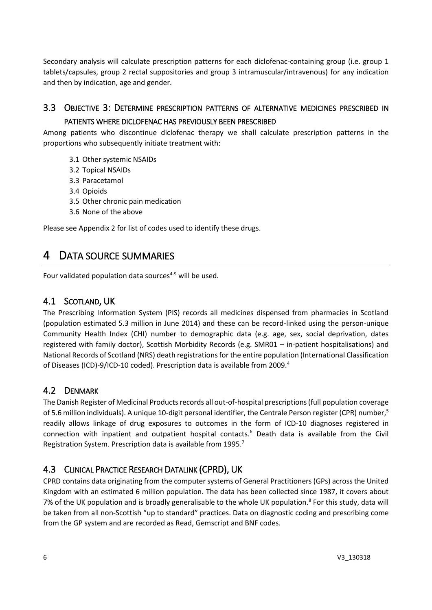Secondary analysis will calculate prescription patterns for each diclofenac-containing group (i.e. group 1 tablets/capsules, group 2 rectal suppositories and group 3 intramuscular/intravenous) for any indication and then by indication, age and gender.

# <span id="page-5-0"></span>3.3 OBJECTIVE 3: DETERMINE PRESCRIPTION PATTERNS OF ALTERNATIVE MEDICINES PRESCRIBED IN PATIENTS WHERE DICLOFENAC HAS PREVIOUSLY BEEN PRESCRIBED

Among patients who discontinue diclofenac therapy we shall calculate prescription patterns in the proportions who subsequently initiate treatment with:

- 3.1 Other systemic NSAIDs
- 3.2 Topical NSAIDs
- 3.3 Paracetamol
- 3.4 Opioids
- 3.5 Other chronic pain medication
- 3.6 None of the above

Please see Appendix 2 for list of codes used to identify these drugs.

# <span id="page-5-1"></span>4 DATA SOURCE SUMMARIES

Four validated population data sources<sup>4-9</sup> will be used.

## <span id="page-5-2"></span>4.1 SCOTLAND, UK

The Prescribing Information System (PIS) records all medicines dispensed from pharmacies in Scotland (population estimated 5.3 million in June 2014) and these can be record-linked using the person-unique Community Health Index (CHI) number to demographic data (e.g. age, sex, social deprivation, dates registered with family doctor), Scottish Morbidity Records (e.g. SMR01 – in-patient hospitalisations) and National Records of Scotland (NRS) death registrations for the entire population (International Classification of Diseases (ICD)-9/ICD-10 coded). Prescription data is available from 2009.<sup>4</sup>

## <span id="page-5-3"></span>4.2 DENMARK

The Danish Register of Medicinal Products records all out-of-hospital prescriptions (full population coverage of 5.6 million individuals). A unique 10-digit personal identifier, the Centrale Person register (CPR) number,<sup>5</sup> readily allows linkage of drug exposures to outcomes in the form of ICD-10 diagnoses registered in connection with inpatient and outpatient hospital contacts.<sup>6</sup> Death data is available from the Civil Registration System. Prescription data is available from 1995. 7

# <span id="page-5-4"></span>4.3 CLINICAL PRACTICE RESEARCH DATALINK (CPRD), UK

CPRD contains data originating from the computer systems of General Practitioners (GPs) across the United Kingdom with an estimated 6 million population. The data has been collected since 1987, it covers about 7% of the UK population and is broadly generalisable to the whole UK population.<sup>8</sup> For this study, data will be taken from all non-Scottish "up to standard" practices. Data on diagnostic coding and prescribing come from the GP system and are recorded as Read, Gemscript and BNF codes.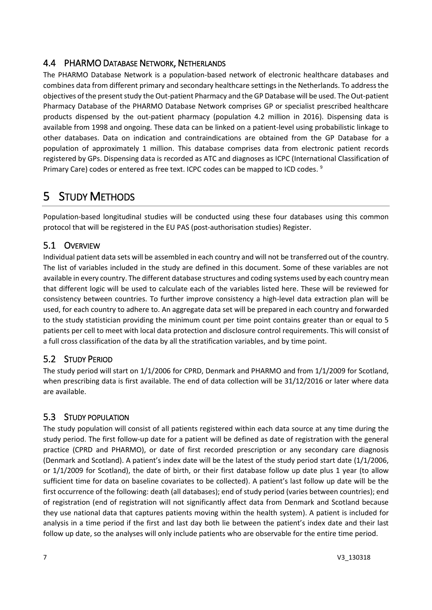## <span id="page-6-0"></span>4.4 PHARMO DATABASE NETWORK, NETHERLANDS

The PHARMO Database Network is a population-based network of electronic healthcare databases and combines data from different primary and secondary healthcare settings in the Netherlands. To address the objectives of the present study the Out-patient Pharmacy and the GP Database will be used. The Out-patient Pharmacy Database of the PHARMO Database Network comprises GP or specialist prescribed healthcare products dispensed by the out-patient pharmacy (population 4.2 million in 2016). Dispensing data is available from 1998 and ongoing. These data can be linked on a patient-level using probabilistic linkage to other databases. Data on indication and contraindications are obtained from the GP Database for a population of approximately 1 million. This database comprises data from electronic patient records registered by GPs. Dispensing data is recorded as ATC and diagnoses as ICPC (International Classification of Primary Care) codes or entered as free text. ICPC codes can be mapped to ICD codes.<sup>9</sup>

# <span id="page-6-1"></span>5 STUDY METHODS

Population-based longitudinal studies will be conducted using these four databases using this common protocol that will be registered in the EU PAS (post-authorisation studies) Register.

# <span id="page-6-2"></span>5.1 OVERVIEW

Individual patient data sets will be assembled in each country and will not be transferred out of the country. The list of variables included in the study are defined in this document. Some of these variables are not available in every country. The different database structures and coding systems used by each country mean that different logic will be used to calculate each of the variables listed here. These will be reviewed for consistency between countries. To further improve consistency a high-level data extraction plan will be used, for each country to adhere to. An aggregate data set will be prepared in each country and forwarded to the study statistician providing the minimum count per time point contains greater than or equal to 5 patients per cell to meet with local data protection and disclosure control requirements. This will consist of a full cross classification of the data by all the stratification variables, and by time point.

## <span id="page-6-3"></span>5.2 STUDY PERIOD

The study period will start on 1/1/2006 for CPRD, Denmark and PHARMO and from 1/1/2009 for Scotland, when prescribing data is first available. The end of data collection will be 31/12/2016 or later where data are available.

## <span id="page-6-4"></span>5.3 STUDY POPULATION

The study population will consist of all patients registered within each data source at any time during the study period. The first follow-up date for a patient will be defined as date of registration with the general practice (CPRD and PHARMO), or date of first recorded prescription or any secondary care diagnosis (Denmark and Scotland). A patient's index date will be the latest of the study period start date (1/1/2006, or 1/1/2009 for Scotland), the date of birth, or their first database follow up date plus 1 year (to allow sufficient time for data on baseline covariates to be collected). A patient's last follow up date will be the first occurrence of the following: death (all databases); end of study period (varies between countries); end of registration (end of registration will not significantly affect data from Denmark and Scotland because they use national data that captures patients moving within the health system). A patient is included for analysis in a time period if the first and last day both lie between the patient's index date and their last follow up date, so the analyses will only include patients who are observable for the entire time period.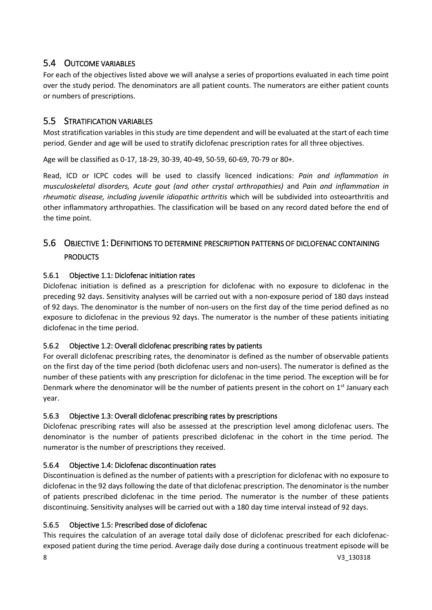## <span id="page-7-0"></span>5.4 OUTCOME VARIABLES

For each of the objectives listed above we will analyse a series of proportions evaluated in each time point over the study period. The denominators are all patient counts. The numerators are either patient counts or numbers of prescriptions.

## <span id="page-7-1"></span>5.5 STRATIFICATION VARIABLES

Most stratification variables in this study are time dependent and will be evaluated at the start of each time period. Gender and age will be used to stratify diclofenac prescription rates for all three objectives.

Age will be classified as 0-17, 18-29, 30-39, 40-49, 50-59, 60-69, 70-79 or 80+.

Read, ICD or ICPC codes will be used to classify licenced indications: *Pain and inflammation in musculoskeletal disorders, Acute gout (and other crystal arthropathies)* and *Pain and inflammation in rheumatic disease, including juvenile idiopathic arthritis* which will be subdivided into osteoarthritis and other inflammatory arthropathies. The classification will be based on any record dated before the end of the time point.

## <span id="page-7-2"></span>5.6 OBJECTIVE 1: DEFINITIONS TO DETERMINE PRESCRIPTION PATTERNS OF DICLOFENAC CONTAINING **PRODUCTS**

## <span id="page-7-3"></span>5.6.1 Objective 1.1: Diclofenac initiation rates

Diclofenac initiation is defined as a prescription for diclofenac with no exposure to diclofenac in the preceding 92 days. Sensitivity analyses will be carried out with a non-exposure period of 180 days instead of 92 days. The denominator is the number of non-users on the first day of the time period defined as no exposure to diclofenac in the previous 92 days. The numerator is the number of these patients initiating diclofenac in the time period.

## <span id="page-7-4"></span>5.6.2 Objective 1.2: Overall diclofenac prescribing rates by patients

For overall diclofenac prescribing rates, the denominator is defined as the number of observable patients on the first day of the time period (both diclofenac users and non-users). The numerator is defined as the number of these patients with any prescription for diclofenac in the time period. The exception will be for Denmark where the denominator will be the number of patients present in the cohort on  $1<sup>st</sup>$  January each year.

## <span id="page-7-5"></span>5.6.3 Objective 1.3: Overall diclofenac prescribing rates by prescriptions

Diclofenac prescribing rates will also be assessed at the prescription level among diclofenac users. The denominator is the number of patients prescribed diclofenac in the cohort in the time period. The numerator is the number of prescriptions they received.

## <span id="page-7-6"></span>5.6.4 Objective 1.4: Diclofenac discontinuation rates

Discontinuation is defined as the number of patients with a prescription for diclofenac with no exposure to diclofenac in the 92 days following the date of that diclofenac prescription. The denominator is the number of patients prescribed diclofenac in the time period. The numerator is the number of these patients discontinuing. Sensitivity analyses will be carried out with a 180 day time interval instead of 92 days.

## <span id="page-7-7"></span>5.6.5 Objective 1.5: Prescribed dose of diclofenac

8 V3\_130318 This requires the calculation of an average total daily dose of diclofenac prescribed for each diclofenacexposed patient during the time period. Average daily dose during a continuous treatment episode will be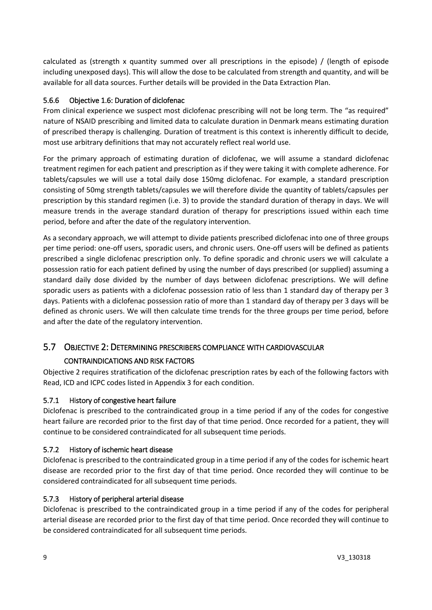calculated as (strength x quantity summed over all prescriptions in the episode) / (length of episode including unexposed days). This will allow the dose to be calculated from strength and quantity, and will be available for all data sources. Further details will be provided in the Data Extraction Plan.

#### <span id="page-8-0"></span>5.6.6 Objective 1.6: Duration of diclofenac

From clinical experience we suspect most diclofenac prescribing will not be long term. The "as required" nature of NSAID prescribing and limited data to calculate duration in Denmark means estimating duration of prescribed therapy is challenging. Duration of treatment is this context is inherently difficult to decide, most use arbitrary definitions that may not accurately reflect real world use.

For the primary approach of estimating duration of diclofenac, we will assume a standard diclofenac treatment regimen for each patient and prescription as if they were taking it with complete adherence. For tablets/capsules we will use a total daily dose 150mg diclofenac. For example, a standard prescription consisting of 50mg strength tablets/capsules we will therefore divide the quantity of tablets/capsules per prescription by this standard regimen (i.e. 3) to provide the standard duration of therapy in days. We will measure trends in the average standard duration of therapy for prescriptions issued within each time period, before and after the date of the regulatory intervention.

As a secondary approach, we will attempt to divide patients prescribed diclofenac into one of three groups per time period: one-off users, sporadic users, and chronic users. One-off users will be defined as patients prescribed a single diclofenac prescription only. To define sporadic and chronic users we will calculate a possession ratio for each patient defined by using the number of days prescribed (or supplied) assuming a standard daily dose divided by the number of days between diclofenac prescriptions. We will define sporadic users as patients with a diclofenac possession ratio of less than 1 standard day of therapy per 3 days. Patients with a diclofenac possession ratio of more than 1 standard day of therapy per 3 days will be defined as chronic users. We will then calculate time trends for the three groups per time period, before and after the date of the regulatory intervention.

## <span id="page-8-1"></span>5.7 OBJECTIVE 2: DETERMINING PRESCRIBERS COMPLIANCE WITH CARDIOVASCULAR

#### CONTRAINDICATIONS AND RISK FACTORS

Objective 2 requires stratification of the diclofenac prescription rates by each of the following factors with Read, ICD and ICPC codes listed in Appendix 3 for each condition.

#### <span id="page-8-2"></span>5.7.1 History of congestive heart failure

Diclofenac is prescribed to the contraindicated group in a time period if any of the codes for congestive heart failure are recorded prior to the first day of that time period. Once recorded for a patient, they will continue to be considered contraindicated for all subsequent time periods.

#### <span id="page-8-3"></span>5.7.2 History of ischemic heart disease

Diclofenac is prescribed to the contraindicated group in a time period if any of the codes for ischemic heart disease are recorded prior to the first day of that time period. Once recorded they will continue to be considered contraindicated for all subsequent time periods.

#### <span id="page-8-4"></span>5.7.3 History of peripheral arterial disease

Diclofenac is prescribed to the contraindicated group in a time period if any of the codes for peripheral arterial disease are recorded prior to the first day of that time period. Once recorded they will continue to be considered contraindicated for all subsequent time periods.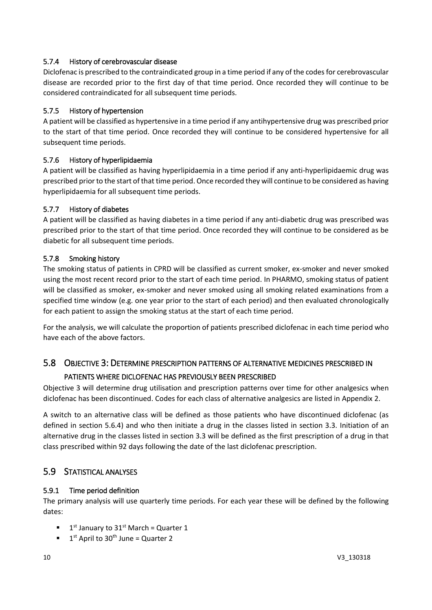#### <span id="page-9-0"></span>5.7.4 History of cerebrovascular disease

Diclofenac is prescribed to the contraindicated group in a time period if any of the codes for cerebrovascular disease are recorded prior to the first day of that time period. Once recorded they will continue to be considered contraindicated for all subsequent time periods.

#### <span id="page-9-1"></span>5.7.5 History of hypertension

A patient will be classified as hypertensive in a time period if any antihypertensive drug was prescribed prior to the start of that time period. Once recorded they will continue to be considered hypertensive for all subsequent time periods.

### <span id="page-9-2"></span>5.7.6 History of hyperlipidaemia

A patient will be classified as having hyperlipidaemia in a time period if any anti-hyperlipidaemic drug was prescribed prior to the start of that time period. Once recorded they will continue to be considered as having hyperlipidaemia for all subsequent time periods.

### <span id="page-9-3"></span>5.7.7 History of diabetes

A patient will be classified as having diabetes in a time period if any anti-diabetic drug was prescribed was prescribed prior to the start of that time period. Once recorded they will continue to be considered as be diabetic for all subsequent time periods.

### <span id="page-9-4"></span>5.7.8 Smoking history

The smoking status of patients in CPRD will be classified as current smoker, ex-smoker and never smoked using the most recent record prior to the start of each time period. In PHARMO, smoking status of patient will be classified as smoker, ex-smoker and never smoked using all smoking related examinations from a specified time window (e.g. one year prior to the start of each period) and then evaluated chronologically for each patient to assign the smoking status at the start of each time period.

For the analysis, we will calculate the proportion of patients prescribed diclofenac in each time period who have each of the above factors.

# <span id="page-9-5"></span>5.8 OBJECTIVE 3: DETERMINE PRESCRIPTION PATTERNS OF ALTERNATIVE MEDICINES PRESCRIBED IN

#### PATIENTS WHERE DICLOFENAC HAS PREVIOUSLY BEEN PRESCRIBED

Objective 3 will determine drug utilisation and prescription patterns over time for other analgesics when diclofenac has been discontinued. Codes for each class of alternative analgesics are listed in Appendix 2.

A switch to an alternative class will be defined as those patients who have discontinued diclofenac (as defined in section 5.6.4) and who then initiate a drug in the classes listed in section 3.3. Initiation of an alternative drug in the classes listed in section 3.3 will be defined as the first prescription of a drug in that class prescribed within 92 days following the date of the last diclofenac prescription.

## <span id="page-9-6"></span>5.9 STATISTICAL ANALYSES

#### <span id="page-9-7"></span>5.9.1 Time period definition

The primary analysis will use quarterly time periods. For each year these will be defined by the following dates:

- $\blacksquare$  1<sup>st</sup> January to 31<sup>st</sup> March = Quarter 1
- $\blacksquare$  1<sup>st</sup> April to 30<sup>th</sup> June = Quarter 2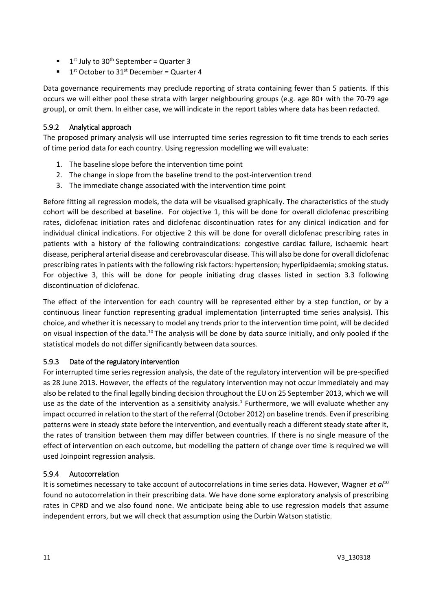- $\blacksquare$  1<sup>st</sup> July to 30<sup>th</sup> September = Quarter 3
- $\blacksquare$  1<sup>st</sup> October to 31<sup>st</sup> December = Quarter 4

Data governance requirements may preclude reporting of strata containing fewer than 5 patients. If this occurs we will either pool these strata with larger neighbouring groups (e.g. age 80+ with the 70-79 age group), or omit them. In either case, we will indicate in the report tables where data has been redacted.

### <span id="page-10-0"></span>5.9.2 Analytical approach

The proposed primary analysis will use interrupted time series regression to fit time trends to each series of time period data for each country. Using regression modelling we will evaluate:

- 1. The baseline slope before the intervention time point
- 2. The change in slope from the baseline trend to the post-intervention trend
- 3. The immediate change associated with the intervention time point

Before fitting all regression models, the data will be visualised graphically. The characteristics of the study cohort will be described at baseline. For objective 1, this will be done for overall diclofenac prescribing rates, diclofenac initiation rates and diclofenac discontinuation rates for any clinical indication and for individual clinical indications. For objective 2 this will be done for overall diclofenac prescribing rates in patients with a history of the following contraindications: congestive cardiac failure, ischaemic heart disease, peripheral arterial disease and cerebrovascular disease. This will also be done for overall diclofenac prescribing rates in patients with the following risk factors: hypertension; hyperlipidaemia; smoking status. For objective 3, this will be done for people initiating drug classes listed in section 3.3 following discontinuation of diclofenac.

The effect of the intervention for each country will be represented either by a step function, or by a continuous linear function representing gradual implementation (interrupted time series analysis). This choice, and whether it is necessary to model any trends prior to the intervention time point, will be decided on visual inspection of the data.<sup>10</sup> The analysis will be done by data source initially, and only pooled if the statistical models do not differ significantly between data sources.

#### <span id="page-10-1"></span>5.9.3 Date of the regulatory intervention

For interrupted time series regression analysis, the date of the regulatory intervention will be pre-specified as 28 June 2013. However, the effects of the regulatory intervention may not occur immediately and may also be related to the final legally binding decision throughout the EU on 25 September 2013, which we will use as the date of the intervention as a sensitivity analysis.<sup>1</sup> Furthermore, we will evaluate whether any impact occurred in relation to the start of the referral (October 2012) on baseline trends. Even if prescribing patterns were in steady state before the intervention, and eventually reach a different steady state after it, the rates of transition between them may differ between countries. If there is no single measure of the effect of intervention on each outcome, but modelling the pattern of change over time is required we will used Joinpoint regression analysis.

#### <span id="page-10-2"></span>5.9.4 Autocorrelation

It is sometimes necessary to take account of autocorrelations in time series data. However, Wagner *et al*<sup>10</sup> found no autocorrelation in their prescribing data. We have done some exploratory analysis of prescribing rates in CPRD and we also found none. We anticipate being able to use regression models that assume independent errors, but we will check that assumption using the Durbin Watson statistic.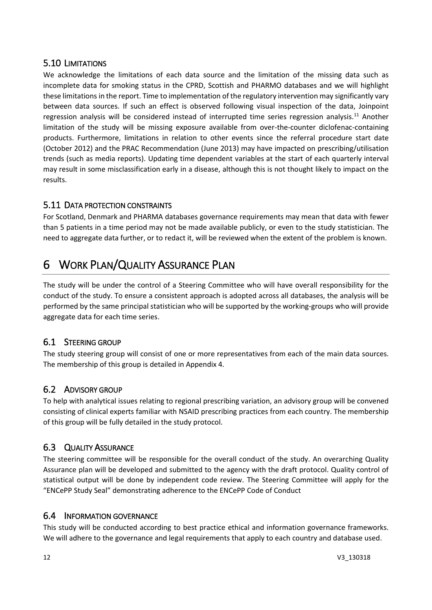## <span id="page-11-0"></span>5.10 LIMITATIONS

We acknowledge the limitations of each data source and the limitation of the missing data such as incomplete data for smoking status in the CPRD, Scottish and PHARMO databases and we will highlight these limitations in the report. Time to implementation of the regulatory intervention may significantly vary between data sources. If such an effect is observed following visual inspection of the data, Joinpoint regression analysis will be considered instead of interrupted time series regression analysis.<sup>11</sup> Another limitation of the study will be missing exposure available from over-the-counter diclofenac-containing products. Furthermore, limitations in relation to other events since the referral procedure start date (October 2012) and the PRAC Recommendation (June 2013) may have impacted on prescribing/utilisation trends (such as media reports). Updating time dependent variables at the start of each quarterly interval may result in some misclassification early in a disease, although this is not thought likely to impact on the results.

## <span id="page-11-1"></span>5.11 DATA PROTECTION CONSTRAINTS

For Scotland, Denmark and PHARMA databases governance requirements may mean that data with fewer than 5 patients in a time period may not be made available publicly, or even to the study statistician. The need to aggregate data further, or to redact it, will be reviewed when the extent of the problem is known.

# <span id="page-11-2"></span>6 WORK PLAN/QUALITY ASSURANCE PLAN

The study will be under the control of a Steering Committee who will have overall responsibility for the conduct of the study. To ensure a consistent approach is adopted across all databases, the analysis will be performed by the same principal statistician who will be supported by the working-groups who will provide aggregate data for each time series.

## <span id="page-11-3"></span>6.1 STEERING GROUP

The study steering group will consist of one or more representatives from each of the main data sources. The membership of this group is detailed in Appendix 4.

## <span id="page-11-4"></span>6.2 ADVISORY GROUP

To help with analytical issues relating to regional prescribing variation, an advisory group will be convened consisting of clinical experts familiar with NSAID prescribing practices from each country. The membership of this group will be fully detailed in the study protocol.

## <span id="page-11-5"></span>6.3 QUALITY ASSURANCE

The steering committee will be responsible for the overall conduct of the study. An overarching Quality Assurance plan will be developed and submitted to the agency with the draft protocol. Quality control of statistical output will be done by independent code review. The Steering Committee will apply for the "ENCePP Study Seal" demonstrating adherence to the ENCePP Code of Conduct

## <span id="page-11-6"></span>6.4 INFORMATION GOVERNANCE

This study will be conducted according to best practice ethical and information governance frameworks. We will adhere to the governance and legal requirements that apply to each country and database used.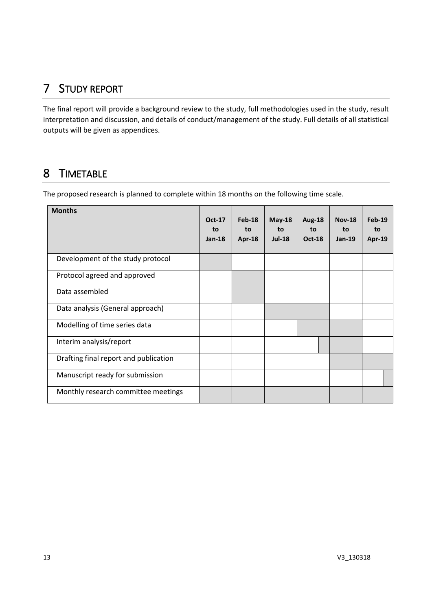# <span id="page-12-0"></span>7 STUDY REPORT

The final report will provide a background review to the study, full methodologies used in the study, result interpretation and discussion, and details of conduct/management of the study. Full details of all statistical outputs will be given as appendices.

# <span id="page-12-1"></span>8 TIMETABLE

The proposed research is planned to complete within 18 months on the following time scale.

| <b>Months</b>                         | <b>Oct-17</b><br>to<br>$Jan-18$ | Feb-18<br>to<br>Apr-18 | $May-18$<br>to<br><b>Jul-18</b> | Aug-18<br>to<br><b>Oct-18</b> | <b>Nov-18</b><br>to<br>$Jan-19$ | $Feb-19$<br>to<br>Apr-19 |
|---------------------------------------|---------------------------------|------------------------|---------------------------------|-------------------------------|---------------------------------|--------------------------|
| Development of the study protocol     |                                 |                        |                                 |                               |                                 |                          |
| Protocol agreed and approved          |                                 |                        |                                 |                               |                                 |                          |
| Data assembled                        |                                 |                        |                                 |                               |                                 |                          |
| Data analysis (General approach)      |                                 |                        |                                 |                               |                                 |                          |
| Modelling of time series data         |                                 |                        |                                 |                               |                                 |                          |
| Interim analysis/report               |                                 |                        |                                 |                               |                                 |                          |
| Drafting final report and publication |                                 |                        |                                 |                               |                                 |                          |
| Manuscript ready for submission       |                                 |                        |                                 |                               |                                 |                          |
| Monthly research committee meetings   |                                 |                        |                                 |                               |                                 |                          |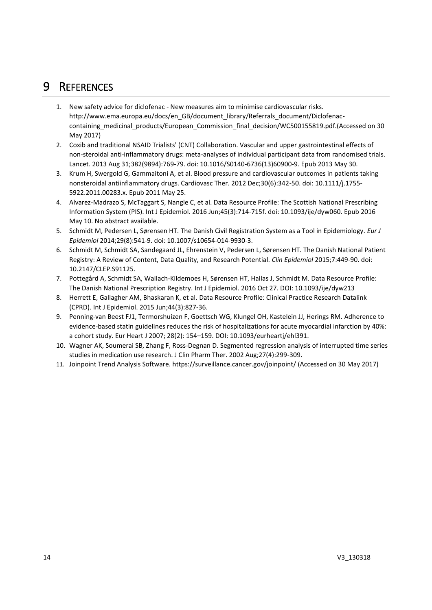# <span id="page-13-0"></span>9 REFERENCES

- 1. New safety advice for diclofenac New measures aim to minimise cardiovascular risks. http://www.ema.europa.eu/docs/en\_GB/document\_library/Referrals\_document/Diclofenaccontaining\_medicinal\_products/European\_Commission\_final\_decision/WC500155819.pdf.(Accessed on 30 May 2017)
- 2. Coxib and traditional NSAID Trialists' (CNT) Collaboration. Vascular and upper gastrointestinal effects of non-steroidal anti-inflammatory drugs: meta-analyses of individual participant data from randomised trials. Lancet. 2013 Aug 31;382(9894):769-79. doi: 10.1016/S0140-6736(13)60900-9. Epub 2013 May 30.
- 3. Krum H, Swergold G, Gammaitoni A, et al. Blood pressure and cardiovascular outcomes in patients taking nonsteroidal antiinflammatory drugs. Cardiovasc Ther. 2012 Dec;30(6):342-50. doi: 10.1111/j.1755- 5922.2011.00283.x. Epub 2011 May 25.
- 4. Alvarez-Madrazo S, McTaggart S, Nangle C, et al. Data Resource Profile: The Scottish National Prescribing Information System (PIS). Int J Epidemiol. 2016 Jun;45(3):714-715f. doi: 10.1093/ije/dyw060. Epub 2016 May 10. No abstract available.
- 5. Schmidt M, Pedersen L, Sørensen HT. The Danish Civil Registration System as a Tool in Epidemiology. *Eur J Epidemiol* 2014;29(8):541-9. doi: 10.1007/s10654-014-9930-3.
- 6. Schmidt M, Schmidt SA, Sandegaard JL, Ehrenstein V, Pedersen L, Sørensen HT. The Danish National Patient Registry: A Review of Content, Data Quality, and Research Potential. *Clin Epidemiol* 2015;7:449-90. doi: 10.2147/CLEP.S91125.
- 7. Pottegård A, Schmidt SA, Wallach-Kildemoes H, Sørensen HT, Hallas J, Schmidt M. Data Resource Profile: The Danish National Prescription Registry. Int J Epidemiol. 2016 Oct 27. DOI: 10.1093/ije/dyw213
- 8. Herrett E, Gallagher AM, Bhaskaran K, et al. Data Resource Profile: Clinical Practice Research Datalink (CPRD). Int J Epidemiol. 2015 Jun;44(3):827-36.
- 9. Penning-van Beest FJ1, Termorshuizen F, Goettsch WG, Klungel OH, Kastelein JJ, Herings RM. Adherence to evidence-based statin guidelines reduces the risk of hospitalizations for acute myocardial infarction by 40%: a cohort study. Eur Heart J 2007; 28(2): 154–159. DOI: 10.1093/eurheartj/ehl391.
- 10. Wagner AK, Soumerai SB, Zhang F, Ross-Degnan D. Segmented regression analysis of interrupted time series studies in medication use research. J Clin Pharm Ther. 2002 Aug;27(4):299-309.
- 11. Joinpoint Trend Analysis Software. https://surveillance.cancer.gov/joinpoint/ (Accessed on 30 May 2017)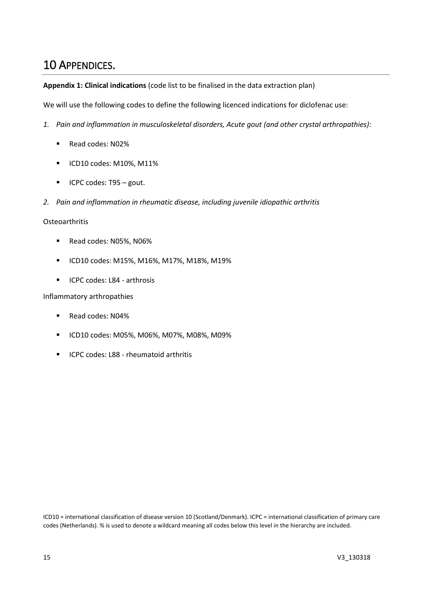# <span id="page-14-0"></span>10 APPENDICES.

**Appendix 1: Clinical indications** (code list to be finalised in the data extraction plan)

We will use the following codes to define the following licenced indications for diclofenac use:

- *1. Pain and inflammation in musculoskeletal disorders, Acute gout (and other crystal arthropathies):*
	- Read codes: N02%
	- ICD10 codes: M10%, M11%
	- ICPC codes: T95 gout.
- *2. Pain and inflammation in rheumatic disease, including juvenile idiopathic arthritis*

#### **Osteoarthritis**

- Read codes: N05%, N06%
- ICD10 codes: M15%, M16%, M17%, M18%, M19%
- ICPC codes: L84 arthrosis

#### Inflammatory arthropathies

- Read codes: N04%
- ICD10 codes: M05%, M06%, M07%, M08%, M09%
- ICPC codes: L88 rheumatoid arthritis

ICD10 = international classification of disease version 10 (Scotland/Denmark). ICPC = international classification of primary care codes (Netherlands). % is used to denote a wildcard meaning all codes below this level in the hierarchy are included.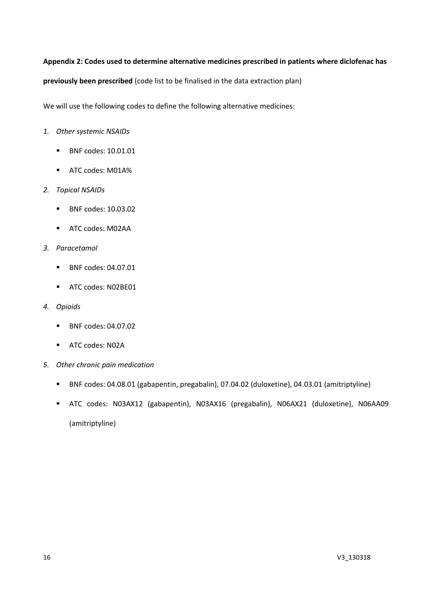#### **Appendix 2: Codes used to determine alternative medicines prescribed in patients where diclofenac has**

**previously been prescribed** (code list to be finalised in the data extraction plan)

We will use the following codes to define the following alternative medicines:

#### *1. Other systemic NSAIDs*

- BNF codes: 10.01.01
- ATC codes: M01A%
- *2. Topical NSAIDs*
	- BNF codes: 10.03.02
	- ATC codes: M02AA
- *3. Paracetamol*
	- BNF codes: 04.07.01
	- ATC codes: N02BE01
- *4. Opioids*
	- BNF codes: 04.07.02
	- ATC codes: N02A
- *5. Other chronic pain medication* 
	- BNF codes: 04.08.01 (gabapentin, pregabalin), 07.04.02 (duloxetine), 04.03.01 (amitriptyline)
	- ATC codes: N03AX12 (gabapentin), N03AX16 (pregabalin), N06AX21 (duloxetine), N06AA09 (amitriptyline)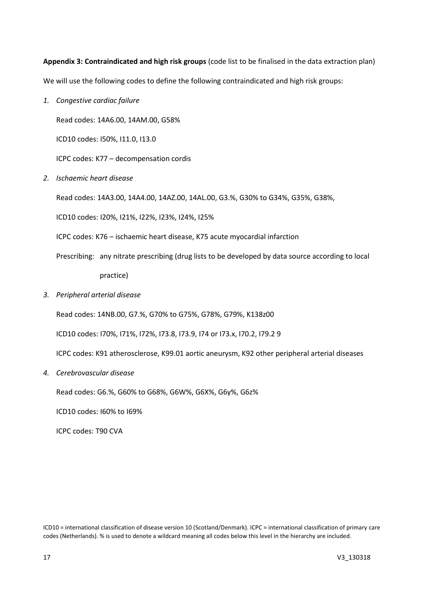**Appendix 3: Contraindicated and high risk groups** (code list to be finalised in the data extraction plan)

We will use the following codes to define the following contraindicated and high risk groups:

*1. Congestive cardiac failure*

Read codes: 14A6.00, 14AM.00, G58%

ICD10 codes: I50%, I11.0, I13.0

ICPC codes: K77 – decompensation cordis

*2. Ischaemic heart disease*

Read codes: 14A3.00, 14A4.00, 14AZ.00, 14AL.00, G3.%, G30% to G34%, G35%, G38%,

ICD10 codes: I20%, I21%, I22%, I23%, I24%, I25%

ICPC codes: K76 – ischaemic heart disease, K75 acute myocardial infarction

Prescribing: any nitrate prescribing (drug lists to be developed by data source according to local

practice)

*3. Peripheral arterial disease*

Read codes: 14NB.00, G7.%, G70% to G75%, G78%, G79%, K138z00

ICD10 codes: I70%, I71%, I72%, I73.8, I73.9, I74 or I73.x, I70.2, I79.2 9

ICPC codes: K91 atherosclerose, K99.01 aortic aneurysm, K92 other peripheral arterial diseases

*4. Cerebrovascular disease*

Read codes: G6.%, G60% to G68%, G6W%, G6X%, G6y%, G6z%

ICD10 codes: I60% to I69%

ICPC codes: T90 CVA

ICD10 = international classification of disease version 10 (Scotland/Denmark). ICPC = international classification of primary care codes (Netherlands). % is used to denote a wildcard meaning all codes below this level in the hierarchy are included.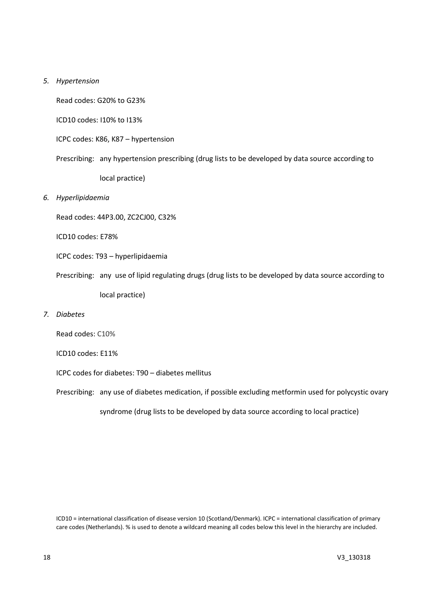#### *5. Hypertension*

Read codes: G20% to G23%

ICD10 codes: I10% to I13%

ICPC codes: K86, K87 – hypertension

Prescribing: any hypertension prescribing (drug lists to be developed by data source according to

local practice)

*6. Hyperlipidaemia*

Read codes: 44P3.00, ZC2CJ00, C32%

ICD10 codes: E78%

ICPC codes: T93 – hyperlipidaemia

Prescribing: any use of lipid regulating drugs (drug lists to be developed by data source according to

local practice)

*7. Diabetes*

Read codes: C10%

ICD10 codes: E11%

ICPC codes for diabetes: T90 – diabetes mellitus

Prescribing: any use of diabetes medication, if possible excluding metformin used for polycystic ovary

syndrome (drug lists to be developed by data source according to local practice)

ICD10 = international classification of disease version 10 (Scotland/Denmark). ICPC = international classification of primary care codes (Netherlands). % is used to denote a wildcard meaning all codes below this level in the hierarchy are included.